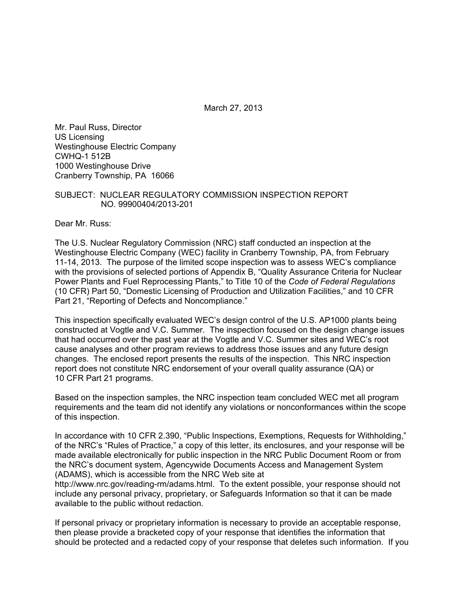March 27, 2013

Mr. Paul Russ, Director US Licensing Westinghouse Electric Company CWHQ-1 512B 1000 Westinghouse Drive Cranberry Township, PA 16066

#### SUBJECT: NUCLEAR REGULATORY COMMISSION INSPECTION REPORT NO. 99900404/2013-201

Dear Mr. Russ:

The U.S. Nuclear Regulatory Commission (NRC) staff conducted an inspection at the Westinghouse Electric Company (WEC) facility in Cranberry Township, PA, from February 11-14, 2013. The purpose of the limited scope inspection was to assess WEC's compliance with the provisions of selected portions of Appendix B, "Quality Assurance Criteria for Nuclear Power Plants and Fuel Reprocessing Plants," to Title 10 of the *Code of Federal Regulations* (10 CFR) Part 50, "Domestic Licensing of Production and Utilization Facilities," and 10 CFR Part 21, "Reporting of Defects and Noncompliance."

This inspection specifically evaluated WEC's design control of the U.S. AP1000 plants being constructed at Vogtle and V.C. Summer. The inspection focused on the design change issues that had occurred over the past year at the Vogtle and V.C. Summer sites and WEC's root cause analyses and other program reviews to address those issues and any future design changes. The enclosed report presents the results of the inspection. This NRC inspection report does not constitute NRC endorsement of your overall quality assurance (QA) or 10 CFR Part 21 programs.

Based on the inspection samples, the NRC inspection team concluded WEC met all program requirements and the team did not identify any violations or nonconformances within the scope of this inspection.

In accordance with 10 CFR 2.390, "Public Inspections, Exemptions, Requests for Withholding," of the NRC's "Rules of Practice," a copy of this letter, its enclosures, and your response will be made available electronically for public inspection in the NRC Public Document Room or from the NRC's document system, Agencywide Documents Access and Management System (ADAMS), which is accessible from the NRC Web site at

http://www.nrc.gov/reading-rm/adams.html. To the extent possible, your response should not include any personal privacy, proprietary, or Safeguards Information so that it can be made available to the public without redaction.

If personal privacy or proprietary information is necessary to provide an acceptable response, then please provide a bracketed copy of your response that identifies the information that should be protected and a redacted copy of your response that deletes such information. If you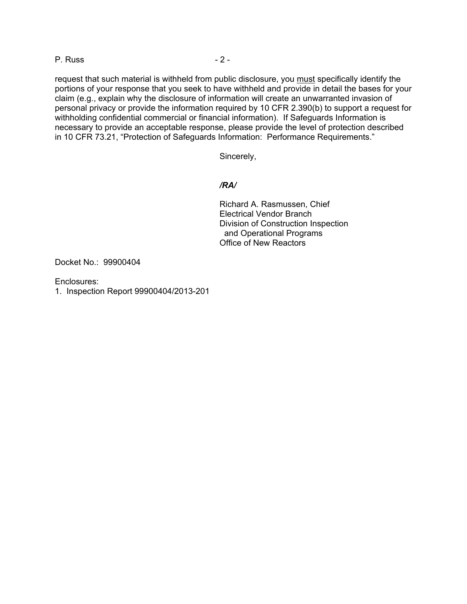P. Russ - 2 -

request that such material is withheld from public disclosure, you must specifically identify the portions of your response that you seek to have withheld and provide in detail the bases for your claim (e.g., explain why the disclosure of information will create an unwarranted invasion of personal privacy or provide the information required by 10 CFR 2.390(b) to support a request for withholding confidential commercial or financial information). If Safeguards Information is necessary to provide an acceptable response, please provide the level of protection described in 10 CFR 73.21, "Protection of Safeguards Information: Performance Requirements."

Sincerely,

#### */RA/*

Richard A. Rasmussen, Chief Electrical Vendor Branch Division of Construction Inspection and Operational Programs Office of New Reactors

Docket No.: 99900404

Enclosures:

1. Inspection Report 99900404/2013-201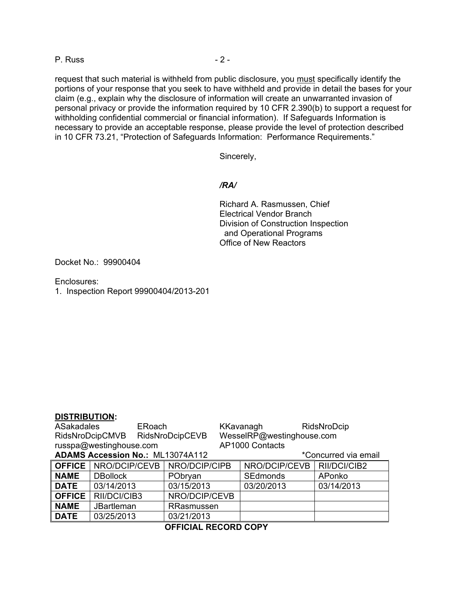P. Russ - 2 -

request that such material is withheld from public disclosure, you must specifically identify the portions of your response that you seek to have withheld and provide in detail the bases for your claim (e.g., explain why the disclosure of information will create an unwarranted invasion of personal privacy or provide the information required by 10 CFR 2.390(b) to support a request for withholding confidential commercial or financial information). If Safeguards Information is necessary to provide an acceptable response, please provide the level of protection described in 10 CFR 73.21, "Protection of Safeguards Information: Performance Requirements."

Sincerely,

#### */RA/*

Richard A. Rasmussen, Chief Electrical Vendor Branch Division of Construction Inspection and Operational Programs Office of New Reactors

Docket No.: 99900404

Enclosures:

1. Inspection Report 99900404/2013-201

#### **DISTRIBUTION:**

| <b>ASakadales</b><br>ERoach             |                             |               | KKavanagh       |                           | RidsNroDcip          |  |
|-----------------------------------------|-----------------------------|---------------|-----------------|---------------------------|----------------------|--|
| RidsNroDcipCMVB RidsNroDcipCEVB         |                             |               |                 | WesselRP@westinghouse.com |                      |  |
| russpa@westinghouse.com                 |                             |               | AP1000 Contacts |                           |                      |  |
| <b>ADAMS Accession No.: ML13074A112</b> |                             |               |                 |                           | *Concurred via email |  |
|                                         | <b>OFFICE</b> NRO/DCIP/CEVB | NRO/DCIP/CIPB |                 | NRO/DCIP/CEVB             | RII/DCI/CIB2         |  |
| <b>NAME</b>                             | <b>DBollock</b>             | PObryan       |                 | <b>SEdmonds</b>           | APonko               |  |
| <b>DATE</b>                             | 03/14/2013                  | 03/15/2013    |                 | 03/20/2013                | 03/14/2013           |  |
| <b>OFFICE</b>                           | RII/DCI/CIB3                | NRO/DCIP/CEVB |                 |                           |                      |  |
| <b>NAME</b>                             | <b>JBartleman</b>           | RRasmussen    |                 |                           |                      |  |
| <b>DATE</b>                             | 03/25/2013                  | 03/21/2013    |                 |                           |                      |  |

## **OFFICIAL RECORD COPY**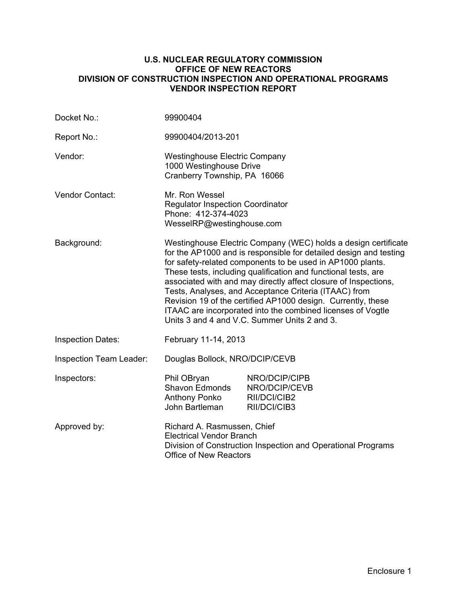#### **U.S. NUCLEAR REGULATORY COMMISSION OFFICE OF NEW REACTORS DIVISION OF CONSTRUCTION INSPECTION AND OPERATIONAL PROGRAMS VENDOR INSPECTION REPORT**

| Docket No.:                    | 99900404                                                                                                                                                                                                                                                                                                                                                                                                                                                                                                                                                                       |                                                                |  |  |
|--------------------------------|--------------------------------------------------------------------------------------------------------------------------------------------------------------------------------------------------------------------------------------------------------------------------------------------------------------------------------------------------------------------------------------------------------------------------------------------------------------------------------------------------------------------------------------------------------------------------------|----------------------------------------------------------------|--|--|
| Report No.:                    | 99900404/2013-201                                                                                                                                                                                                                                                                                                                                                                                                                                                                                                                                                              |                                                                |  |  |
| Vendor:                        | <b>Westinghouse Electric Company</b><br>1000 Westinghouse Drive<br>Cranberry Township, PA 16066                                                                                                                                                                                                                                                                                                                                                                                                                                                                                |                                                                |  |  |
| Vendor Contact:                | Mr. Ron Wessel<br><b>Regulator Inspection Coordinator</b><br>Phone: 412-374-4023<br>WesselRP@westinghouse.com                                                                                                                                                                                                                                                                                                                                                                                                                                                                  |                                                                |  |  |
| Background:                    | Westinghouse Electric Company (WEC) holds a design certificate<br>for the AP1000 and is responsible for detailed design and testing<br>for safety-related components to be used in AP1000 plants.<br>These tests, including qualification and functional tests, are<br>associated with and may directly affect closure of Inspections,<br>Tests, Analyses, and Acceptance Criteria (ITAAC) from<br>Revision 19 of the certified AP1000 design. Currently, these<br>ITAAC are incorporated into the combined licenses of Vogtle<br>Units 3 and 4 and V.C. Summer Units 2 and 3. |                                                                |  |  |
| <b>Inspection Dates:</b>       | February 11-14, 2013                                                                                                                                                                                                                                                                                                                                                                                                                                                                                                                                                           |                                                                |  |  |
| <b>Inspection Team Leader:</b> | Douglas Bollock, NRO/DCIP/CEVB                                                                                                                                                                                                                                                                                                                                                                                                                                                                                                                                                 |                                                                |  |  |
| Inspectors:                    | Phil OBryan<br>Shavon Edmonds<br>Anthony Ponko<br>John Bartleman                                                                                                                                                                                                                                                                                                                                                                                                                                                                                                               | NRO/DCIP/CIPB<br>NRO/DCIP/CEVB<br>RII/DCI/CIB2<br>RII/DCI/CIB3 |  |  |
| Approved by:                   | Richard A. Rasmussen, Chief<br><b>Electrical Vendor Branch</b><br>Division of Construction Inspection and Operational Programs<br><b>Office of New Reactors</b>                                                                                                                                                                                                                                                                                                                                                                                                                |                                                                |  |  |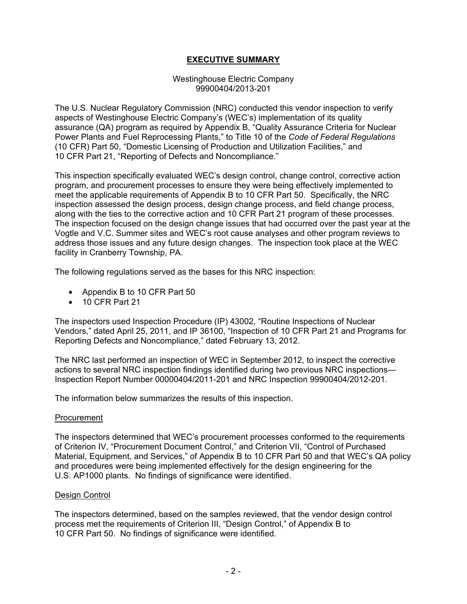## **EXECUTIVE SUMMARY**

#### Westinghouse Electric Company 99900404/2013-201

The U.S. Nuclear Regulatory Commission (NRC) conducted this vendor inspection to verify aspects of Westinghouse Electric Company's (WEC's) implementation of its quality assurance (QA) program as required by Appendix B, "Quality Assurance Criteria for Nuclear Power Plants and Fuel Reprocessing Plants," to Title 10 of the *Code of Federal Regulations*  (10 CFR) Part 50, "Domestic Licensing of Production and Utilization Facilities," and 10 CFR Part 21, "Reporting of Defects and Noncompliance."

This inspection specifically evaluated WEC's design control, change control, corrective action program, and procurement processes to ensure they were being effectively implemented to meet the applicable requirements of Appendix B to 10 CFR Part 50. Specifically, the NRC inspection assessed the design process, design change process, and field change process, along with the ties to the corrective action and 10 CFR Part 21 program of these processes. The inspection focused on the design change issues that had occurred over the past year at the Vogtle and V.C. Summer sites and WEC's root cause analyses and other program reviews to address those issues and any future design changes. The inspection took place at the WEC facility in Cranberry Township, PA.

The following regulations served as the bases for this NRC inspection:

- Appendix B to 10 CFR Part 50
- 10 CFR Part 21

The inspectors used Inspection Procedure (IP) 43002, "Routine Inspections of Nuclear Vendors," dated April 25, 2011, and IP 36100, "Inspection of 10 CFR Part 21 and Programs for Reporting Defects and Noncompliance," dated February 13, 2012.

The NRC last performed an inspection of WEC in September 2012, to inspect the corrective actions to several NRC inspection findings identified during two previous NRC inspections— Inspection Report Number 00000404/2011-201 and NRC Inspection 99900404/2012-201.

The information below summarizes the results of this inspection.

#### Procurement

The inspectors determined that WEC's procurement processes conformed to the requirements of Criterion IV, "Procurement Document Control," and Criterion VII, "Control of Purchased Material, Equipment, and Services," of Appendix B to 10 CFR Part 50 and that WEC's QA policy and procedures were being implemented effectively for the design engineering for the U.S. AP1000 plants. No findings of significance were identified.

#### Design Control

The inspectors determined, based on the samples reviewed, that the vendor design control process met the requirements of Criterion III, "Design Control," of Appendix B to 10 CFR Part 50. No findings of significance were identified.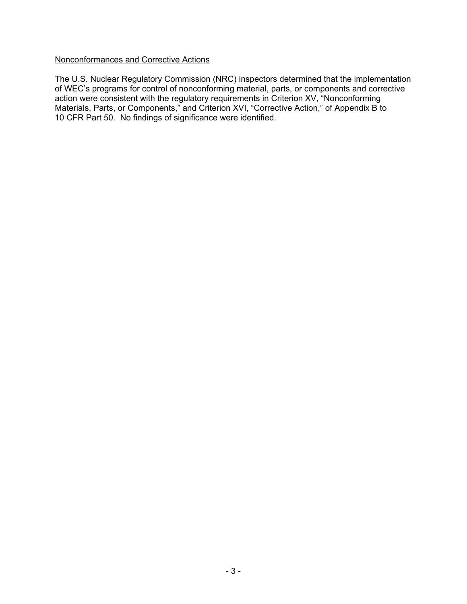## Nonconformances and Corrective Actions

The U.S. Nuclear Regulatory Commission (NRC) inspectors determined that the implementation of WEC's programs for control of nonconforming material, parts, or components and corrective action were consistent with the regulatory requirements in Criterion XV, "Nonconforming Materials, Parts, or Components," and Criterion XVI, "Corrective Action," of Appendix B to 10 CFR Part 50. No findings of significance were identified.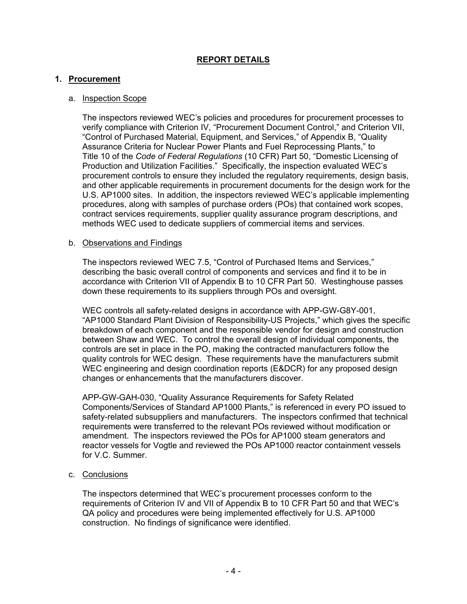## **REPORT DETAILS**

## **1. Procurement**

#### a. Inspection Scope

The inspectors reviewed WEC's policies and procedures for procurement processes to verify compliance with Criterion IV, "Procurement Document Control," and Criterion VII, "Control of Purchased Material, Equipment, and Services," of Appendix B, "Quality Assurance Criteria for Nuclear Power Plants and Fuel Reprocessing Plants," to Title 10 of the *Code of Federal Regulations* (10 CFR) Part 50, "Domestic Licensing of Production and Utilization Facilities." Specifically, the inspection evaluated WEC's procurement controls to ensure they included the regulatory requirements, design basis, and other applicable requirements in procurement documents for the design work for the U.S. AP1000 sites. In addition, the inspectors reviewed WEC's applicable implementing procedures, along with samples of purchase orders (POs) that contained work scopes, contract services requirements, supplier quality assurance program descriptions, and methods WEC used to dedicate suppliers of commercial items and services.

#### b. Observations and Findings

The inspectors reviewed WEC 7.5, "Control of Purchased Items and Services," describing the basic overall control of components and services and find it to be in accordance with Criterion VII of Appendix B to 10 CFR Part 50. Westinghouse passes down these requirements to its suppliers through POs and oversight.

WEC controls all safety-related designs in accordance with APP-GW-G8Y-001, "AP1000 Standard Plant Division of Responsibility-US Projects," which gives the specific breakdown of each component and the responsible vendor for design and construction between Shaw and WEC. To control the overall design of individual components, the controls are set in place in the PO, making the contracted manufacturers follow the quality controls for WEC design. These requirements have the manufacturers submit WEC engineering and design coordination reports (E&DCR) for any proposed design changes or enhancements that the manufacturers discover.

APP-GW-GAH-030, "Quality Assurance Requirements for Safety Related Components/Services of Standard AP1000 Plants," is referenced in every PO issued to safety-related subsuppliers and manufacturers. The inspectors confirmed that technical requirements were transferred to the relevant POs reviewed without modification or amendment. The inspectors reviewed the POs for AP1000 steam generators and reactor vessels for Vogtle and reviewed the POs AP1000 reactor containment vessels for V.C. Summer.

#### c. Conclusions

The inspectors determined that WEC's procurement processes conform to the requirements of Criterion IV and VII of Appendix B to 10 CFR Part 50 and that WEC's QA policy and procedures were being implemented effectively for U.S. AP1000 construction. No findings of significance were identified.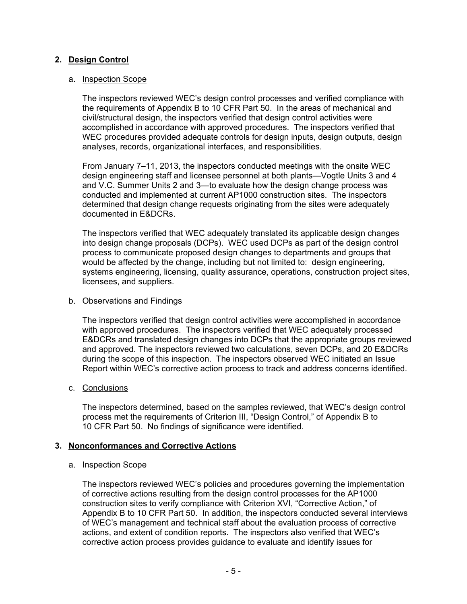## **2. Design Control**

#### a. Inspection Scope

The inspectors reviewed WEC's design control processes and verified compliance with the requirements of Appendix B to 10 CFR Part 50. In the areas of mechanical and civil/structural design, the inspectors verified that design control activities were accomplished in accordance with approved procedures. The inspectors verified that WEC procedures provided adequate controls for design inputs, design outputs, design analyses, records, organizational interfaces, and responsibilities.

From January 7–11, 2013, the inspectors conducted meetings with the onsite WEC design engineering staff and licensee personnel at both plants—Vogtle Units 3 and 4 and V.C. Summer Units 2 and 3—to evaluate how the design change process was conducted and implemented at current AP1000 construction sites. The inspectors determined that design change requests originating from the sites were adequately documented in E&DCRs.

The inspectors verified that WEC adequately translated its applicable design changes into design change proposals (DCPs). WEC used DCPs as part of the design control process to communicate proposed design changes to departments and groups that would be affected by the change, including but not limited to: design engineering, systems engineering, licensing, quality assurance, operations, construction project sites, licensees, and suppliers.

#### b. Observations and Findings

The inspectors verified that design control activities were accomplished in accordance with approved procedures. The inspectors verified that WEC adequately processed E&DCRs and translated design changes into DCPs that the appropriate groups reviewed and approved. The inspectors reviewed two calculations, seven DCPs, and 20 E&DCRs during the scope of this inspection. The inspectors observed WEC initiated an Issue Report within WEC's corrective action process to track and address concerns identified.

## c. Conclusions

The inspectors determined, based on the samples reviewed, that WEC's design control process met the requirements of Criterion III, "Design Control," of Appendix B to 10 CFR Part 50. No findings of significance were identified.

## **3. Nonconformances and Corrective Actions**

#### a. Inspection Scope

The inspectors reviewed WEC's policies and procedures governing the implementation of corrective actions resulting from the design control processes for the AP1000 construction sites to verify compliance with Criterion XVI, "Corrective Action," of Appendix B to 10 CFR Part 50. In addition, the inspectors conducted several interviews of WEC's management and technical staff about the evaluation process of corrective actions, and extent of condition reports. The inspectors also verified that WEC's corrective action process provides guidance to evaluate and identify issues for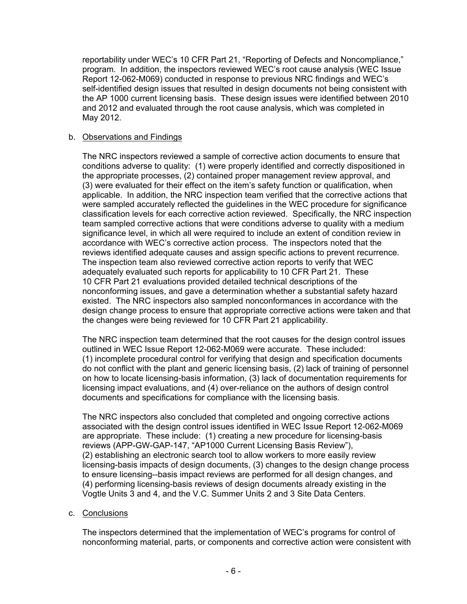reportability under WEC's 10 CFR Part 21, "Reporting of Defects and Noncompliance," program. In addition, the inspectors reviewed WEC's root cause analysis (WEC Issue Report 12-062-M069) conducted in response to previous NRC findings and WEC's self-identified design issues that resulted in design documents not being consistent with the AP 1000 current licensing basis. These design issues were identified between 2010 and 2012 and evaluated through the root cause analysis, which was completed in May 2012.

## b. Observations and Findings

The NRC inspectors reviewed a sample of corrective action documents to ensure that conditions adverse to quality: (1) were properly identified and correctly dispositioned in the appropriate processes, (2) contained proper management review approval, and (3) were evaluated for their effect on the item's safety function or qualification, when applicable. In addition, the NRC inspection team verified that the corrective actions that were sampled accurately reflected the guidelines in the WEC procedure for significance classification levels for each corrective action reviewed. Specifically, the NRC inspection team sampled corrective actions that were conditions adverse to quality with a medium significance level, in which all were required to include an extent of condition review in accordance with WEC's corrective action process. The inspectors noted that the reviews identified adequate causes and assign specific actions to prevent recurrence. The inspection team also reviewed corrective action reports to verify that WEC adequately evaluated such reports for applicability to 10 CFR Part 21. These 10 CFR Part 21 evaluations provided detailed technical descriptions of the nonconforming issues, and gave a determination whether a substantial safety hazard existed. The NRC inspectors also sampled nonconformances in accordance with the design change process to ensure that appropriate corrective actions were taken and that the changes were being reviewed for 10 CFR Part 21 applicability.

The NRC inspection team determined that the root causes for the design control issues outlined in WEC Issue Report 12-062-M069 were accurate. These included: (1) incomplete procedural control for verifying that design and specification documents do not conflict with the plant and generic licensing basis, (2) lack of training of personnel on how to locate licensing-basis information, (3) lack of documentation requirements for licensing impact evaluations, and (4) over-reliance on the authors of design control documents and specifications for compliance with the licensing basis.

The NRC inspectors also concluded that completed and ongoing corrective actions associated with the design control issues identified in WEC Issue Report 12-062-M069 are appropriate. These include: (1) creating a new procedure for licensing-basis reviews (APP-GW-GAP-147, "AP1000 Current Licensing Basis Review"), (2) establishing an electronic search tool to allow workers to more easily review licensing-basis impacts of design documents, (3) changes to the design change process to ensure licensing--basis impact reviews are performed for all design changes, and (4) performing licensing-basis reviews of design documents already existing in the Vogtle Units 3 and 4, and the V.C. Summer Units 2 and 3 Site Data Centers.

## c. Conclusions

The inspectors determined that the implementation of WEC's programs for control of nonconforming material, parts, or components and corrective action were consistent with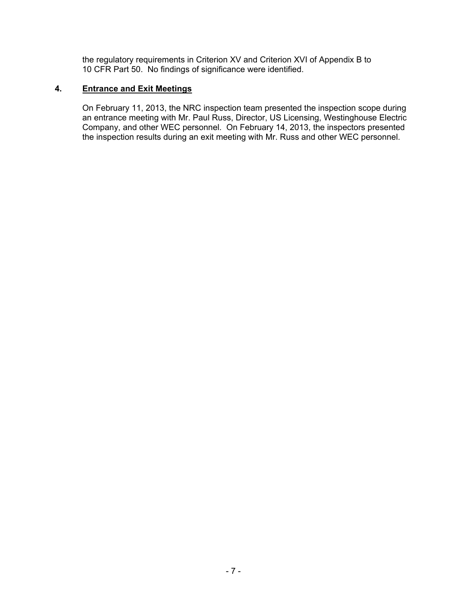the regulatory requirements in Criterion XV and Criterion XVI of Appendix B to 10 CFR Part 50. No findings of significance were identified.

## **4. Entrance and Exit Meetings**

On February 11, 2013, the NRC inspection team presented the inspection scope during an entrance meeting with Mr. Paul Russ, Director, US Licensing, Westinghouse Electric Company, and other WEC personnel. On February 14, 2013, the inspectors presented the inspection results during an exit meeting with Mr. Russ and other WEC personnel.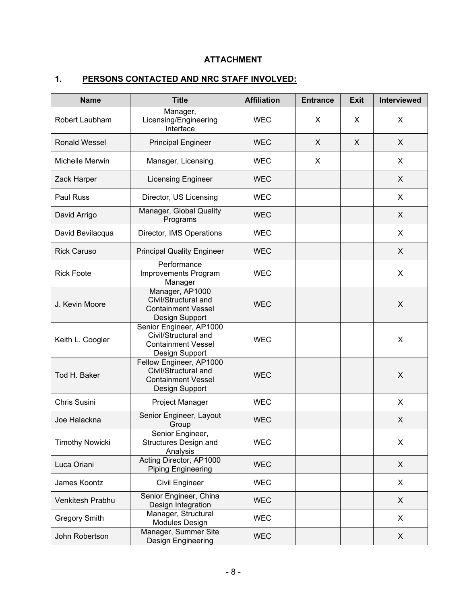# **ATTACHMENT**

# **1. PERSONS CONTACTED AND NRC STAFF INVOLVED:**

| <b>Name</b>            | <b>Title</b>                                                                                   | <b>Affiliation</b> | <b>Entrance</b> | <b>Exit</b>  | Interviewed |
|------------------------|------------------------------------------------------------------------------------------------|--------------------|-----------------|--------------|-------------|
| Robert Laubham         | Manager,<br>Licensing/Engineering<br>Interface                                                 | <b>WEC</b>         | X               | X            | X           |
| <b>Ronald Wessel</b>   | <b>Principal Engineer</b>                                                                      | <b>WEC</b>         | X               | $\mathsf{X}$ | X           |
| Michelle Merwin        | Manager, Licensing                                                                             | <b>WEC</b>         | X               |              | X           |
| Zack Harper            | Licensing Engineer                                                                             | <b>WEC</b>         |                 |              | X           |
| Paul Russ              | Director, US Licensing                                                                         | <b>WEC</b>         |                 |              | X           |
| David Arrigo           | Manager, Global Quality<br>Programs                                                            | <b>WEC</b>         |                 |              | X           |
| David Bevilacqua       | Director, IMS Operations                                                                       | <b>WEC</b>         |                 |              | X           |
| <b>Rick Caruso</b>     | <b>Principal Quality Engineer</b>                                                              | <b>WEC</b>         |                 |              | X           |
| <b>Rick Foote</b>      | Performance<br>Improvements Program<br>Manager                                                 | <b>WEC</b>         |                 |              | X           |
| J. Kevin Moore         | Manager, AP1000<br>Civil/Structural and<br><b>Containment Vessel</b><br>Design Support         | <b>WEC</b>         |                 |              | X           |
| Keith L. Coogler       | Senior Engineer, AP1000<br>Civil/Structural and<br><b>Containment Vessel</b><br>Design Support | <b>WEC</b>         |                 |              | X           |
| Tod H. Baker           | Fellow Engineer, AP1000<br>Civil/Structural and<br><b>Containment Vessel</b><br>Design Support | <b>WEC</b>         |                 |              | X           |
| Chris Susini           | Project Manager                                                                                | <b>WEC</b>         |                 |              | X           |
| Joe Halackna           | Senior Engineer, Layout<br>Group                                                               | <b>WEC</b>         |                 |              | X           |
| <b>Timothy Nowicki</b> | Senior Engineer,<br>Structures Design and<br>Analysis                                          | <b>WEC</b>         |                 |              | X           |
| Luca Oriani            | Acting Director, AP1000<br><b>Piping Engineering</b>                                           | <b>WEC</b>         |                 |              | X           |
| James Koontz           | <b>Civil Engineer</b>                                                                          | <b>WEC</b>         |                 |              | X           |
| Venkitesh Prabhu       | Senior Engineer, China<br>Design Integration                                                   | <b>WEC</b>         |                 |              | X           |
| <b>Gregory Smith</b>   | Manager, Structural<br>Modules Design                                                          | <b>WEC</b>         |                 |              | X           |
| John Robertson         | Manager, Summer Site<br>Design Engineering                                                     | <b>WEC</b>         |                 |              | X           |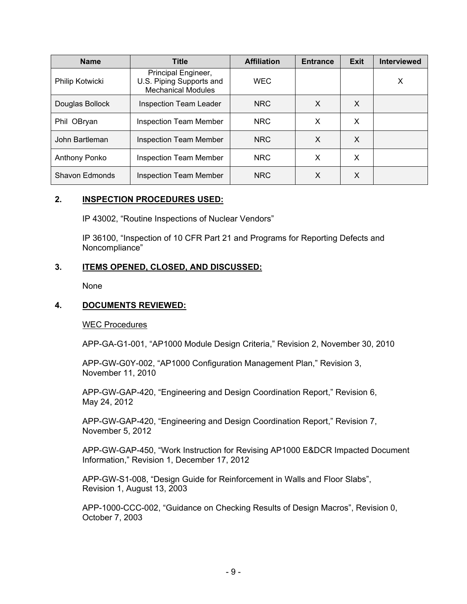| <b>Name</b>          | <b>Title</b>                                                                 | <b>Affiliation</b> | <b>Entrance</b> | <b>Exit</b> | <b>Interviewed</b> |
|----------------------|------------------------------------------------------------------------------|--------------------|-----------------|-------------|--------------------|
| Philip Kotwicki      | Principal Engineer,<br>U.S. Piping Supports and<br><b>Mechanical Modules</b> | <b>WEC</b>         |                 |             | X                  |
| Douglas Bollock      | <b>Inspection Team Leader</b>                                                | <b>NRC</b>         | X               | X           |                    |
| Phil OBryan          | <b>Inspection Team Member</b>                                                | <b>NRC</b>         | X               | X           |                    |
| John Bartleman       | <b>Inspection Team Member</b>                                                | <b>NRC</b>         | X               | X           |                    |
| <b>Anthony Ponko</b> | <b>Inspection Team Member</b>                                                | <b>NRC</b>         | X               | X           |                    |
| Shavon Edmonds       | <b>Inspection Team Member</b>                                                | <b>NRC</b>         | X               | X           |                    |

## **2. INSPECTION PROCEDURES USED:**

IP 43002, "Routine Inspections of Nuclear Vendors"

IP 36100, "Inspection of 10 CFR Part 21 and Programs for Reporting Defects and Noncompliance"

## **3. ITEMS OPENED, CLOSED, AND DISCUSSED:**

None

## **4. DOCUMENTS REVIEWED:**

WEC Procedures

APP-GA-G1-001, "AP1000 Module Design Criteria," Revision 2, November 30, 2010

APP-GW-G0Y-002, "AP1000 Configuration Management Plan," Revision 3, November 11, 2010

APP-GW-GAP-420, "Engineering and Design Coordination Report," Revision 6, May 24, 2012

APP-GW-GAP-420, "Engineering and Design Coordination Report," Revision 7, November 5, 2012

APP-GW-GAP-450, "Work Instruction for Revising AP1000 E&DCR Impacted Document Information," Revision 1, December 17, 2012

APP-GW-S1-008, "Design Guide for Reinforcement in Walls and Floor Slabs", Revision 1, August 13, 2003

APP-1000-CCC-002, "Guidance on Checking Results of Design Macros", Revision 0, October 7, 2003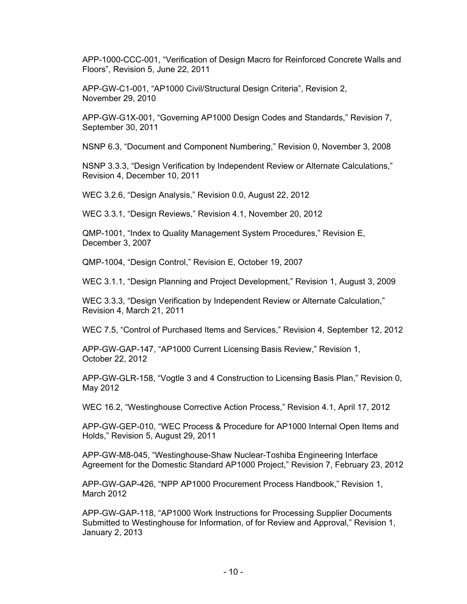APP-1000-CCC-001, "Verification of Design Macro for Reinforced Concrete Walls and Floors", Revision 5, June 22, 2011

APP-GW-C1-001, "AP1000 Civil/Structural Design Criteria", Revision 2, November 29, 2010

APP-GW-G1X-001, "Governing AP1000 Design Codes and Standards," Revision 7, September 30, 2011

NSNP 6.3, "Document and Component Numbering," Revision 0, November 3, 2008

NSNP 3.3.3, "Design Verification by Independent Review or Alternate Calculations," Revision 4, December 10, 2011

WEC 3.2.6, "Design Analysis," Revision 0.0, August 22, 2012

WEC 3.3.1, "Design Reviews," Revision 4.1, November 20, 2012

QMP-1001, "Index to Quality Management System Procedures," Revision E, December 3, 2007

QMP-1004, "Design Control," Revision E, October 19, 2007

WEC 3.1.1, "Design Planning and Project Development," Revision 1, August 3, 2009

WEC 3.3.3, "Design Verification by Independent Review or Alternate Calculation," Revision 4, March 21, 2011

WEC 7.5, "Control of Purchased Items and Services," Revision 4, September 12, 2012

APP-GW-GAP-147, "AP1000 Current Licensing Basis Review," Revision 1, October 22, 2012

APP-GW-GLR-158, "Vogtle 3 and 4 Construction to Licensing Basis Plan," Revision 0, May 2012

WEC 16.2, "Westinghouse Corrective Action Process," Revision 4.1, April 17, 2012

APP-GW-GEP-010, "WEC Process & Procedure for AP1000 Internal Open Items and Holds," Revision 5, August 29, 2011

APP-GW-M8-045, "Westinghouse-Shaw Nuclear-Toshiba Engineering Interface Agreement for the Domestic Standard AP1000 Project," Revision 7, February 23, 2012

APP-GW-GAP-426, "NPP AP1000 Procurement Process Handbook," Revision 1, March 2012

APP-GW-GAP-118, "AP1000 Work Instructions for Processing Supplier Documents Submitted to Westinghouse for Information, of for Review and Approval," Revision 1, January 2, 2013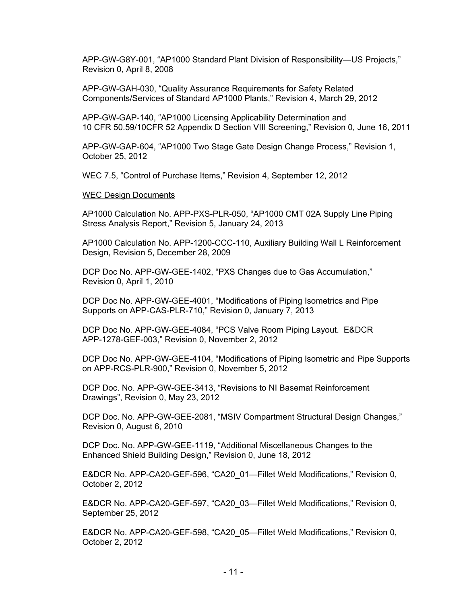APP-GW-G8Y-001, "AP1000 Standard Plant Division of Responsibility—US Projects," Revision 0, April 8, 2008

APP-GW-GAH-030, "Quality Assurance Requirements for Safety Related Components/Services of Standard AP1000 Plants," Revision 4, March 29, 2012

APP-GW-GAP-140, "AP1000 Licensing Applicability Determination and 10 CFR 50.59/10CFR 52 Appendix D Section VIII Screening," Revision 0, June 16, 2011

APP-GW-GAP-604, "AP1000 Two Stage Gate Design Change Process," Revision 1, October 25, 2012

WEC 7.5, "Control of Purchase Items," Revision 4, September 12, 2012

#### WEC Design Documents

AP1000 Calculation No. APP-PXS-PLR-050, "AP1000 CMT 02A Supply Line Piping Stress Analysis Report," Revision 5, January 24, 2013

AP1000 Calculation No. APP-1200-CCC-110, Auxiliary Building Wall L Reinforcement Design, Revision 5, December 28, 2009

DCP Doc No. APP-GW-GEE-1402, "PXS Changes due to Gas Accumulation," Revision 0, April 1, 2010

DCP Doc No. APP-GW-GEE-4001, "Modifications of Piping Isometrics and Pipe Supports on APP-CAS-PLR-710," Revision 0, January 7, 2013

DCP Doc No. APP-GW-GEE-4084, "PCS Valve Room Piping Layout. E&DCR APP-1278-GEF-003," Revision 0, November 2, 2012

DCP Doc No. APP-GW-GEE-4104, "Modifications of Piping Isometric and Pipe Supports on APP-RCS-PLR-900," Revision 0, November 5, 2012

DCP Doc. No. APP-GW-GEE-3413, "Revisions to NI Basemat Reinforcement Drawings", Revision 0, May 23, 2012

DCP Doc. No. APP-GW-GEE-2081, "MSIV Compartment Structural Design Changes," Revision 0, August 6, 2010

DCP Doc. No. APP-GW-GEE-1119, "Additional Miscellaneous Changes to the Enhanced Shield Building Design," Revision 0, June 18, 2012

E&DCR No. APP-CA20-GEF-596, "CA20\_01—Fillet Weld Modifications," Revision 0, October 2, 2012

E&DCR No. APP-CA20-GEF-597, "CA20\_03—Fillet Weld Modifications," Revision 0, September 25, 2012

E&DCR No. APP-CA20-GEF-598, "CA20\_05—Fillet Weld Modifications," Revision 0, October 2, 2012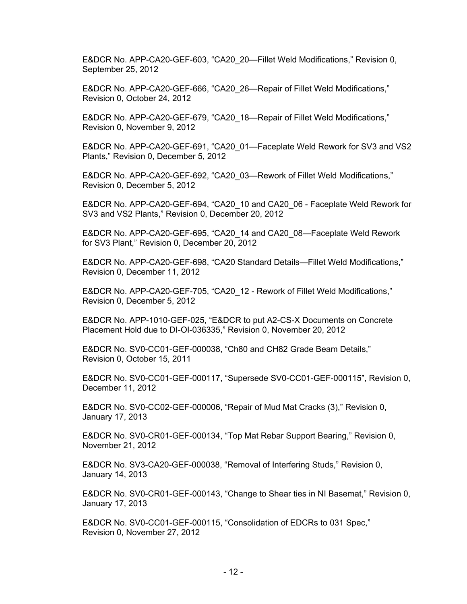E&DCR No. APP-CA20-GEF-603, "CA20\_20—Fillet Weld Modifications," Revision 0, September 25, 2012

E&DCR No. APP-CA20-GEF-666, "CA20\_26—Repair of Fillet Weld Modifications," Revision 0, October 24, 2012

E&DCR No. APP-CA20-GEF-679, "CA20\_18—Repair of Fillet Weld Modifications," Revision 0, November 9, 2012

E&DCR No. APP-CA20-GEF-691, "CA20\_01—Faceplate Weld Rework for SV3 and VS2 Plants," Revision 0, December 5, 2012

E&DCR No. APP-CA20-GEF-692, "CA20\_03—Rework of Fillet Weld Modifications," Revision 0, December 5, 2012

E&DCR No. APP-CA20-GEF-694, "CA20\_10 and CA20\_06 - Faceplate Weld Rework for SV3 and VS2 Plants," Revision 0, December 20, 2012

E&DCR No. APP-CA20-GEF-695, "CA20\_14 and CA20\_08—Faceplate Weld Rework for SV3 Plant," Revision 0, December 20, 2012

E&DCR No. APP-CA20-GEF-698, "CA20 Standard Details—Fillet Weld Modifications," Revision 0, December 11, 2012

E&DCR No. APP-CA20-GEF-705, "CA20\_12 - Rework of Fillet Weld Modifications," Revision 0, December 5, 2012

E&DCR No. APP-1010-GEF-025, "E&DCR to put A2-CS-X Documents on Concrete Placement Hold due to DI-OI-036335," Revision 0, November 20, 2012

E&DCR No. SV0-CC01-GEF-000038, "Ch80 and CH82 Grade Beam Details," Revision 0, October 15, 2011

E&DCR No. SV0-CC01-GEF-000117, "Supersede SV0-CC01-GEF-000115", Revision 0, December 11, 2012

E&DCR No. SV0-CC02-GEF-000006, "Repair of Mud Mat Cracks (3)," Revision 0, January 17, 2013

E&DCR No. SV0-CR01-GEF-000134, "Top Mat Rebar Support Bearing," Revision 0, November 21, 2012

E&DCR No. SV3-CA20-GEF-000038, "Removal of Interfering Studs," Revision 0, January 14, 2013

E&DCR No. SV0-CR01-GEF-000143, "Change to Shear ties in NI Basemat," Revision 0, January 17, 2013

E&DCR No. SV0-CC01-GEF-000115, "Consolidation of EDCRs to 031 Spec," Revision 0, November 27, 2012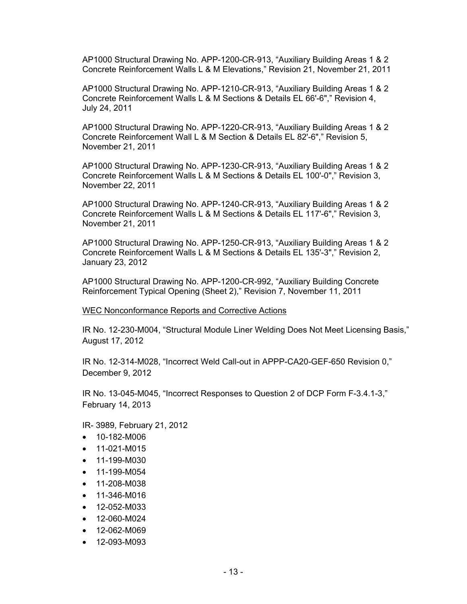AP1000 Structural Drawing No. APP-1200-CR-913, "Auxiliary Building Areas 1 & 2 Concrete Reinforcement Walls L & M Elevations," Revision 21, November 21, 2011

AP1000 Structural Drawing No. APP-1210-CR-913, "Auxiliary Building Areas 1 & 2 Concrete Reinforcement Walls L & M Sections & Details EL 66'-6"," Revision 4, July 24, 2011

AP1000 Structural Drawing No. APP-1220-CR-913, "Auxiliary Building Areas 1 & 2 Concrete Reinforcement Wall L & M Section & Details EL 82'-6"," Revision 5, November 21, 2011

AP1000 Structural Drawing No. APP-1230-CR-913, "Auxiliary Building Areas 1 & 2 Concrete Reinforcement Walls L & M Sections & Details EL 100'-0"," Revision 3, November 22, 2011

AP1000 Structural Drawing No. APP-1240-CR-913, "Auxiliary Building Areas 1 & 2 Concrete Reinforcement Walls L & M Sections & Details EL 117'-6"," Revision 3, November 21, 2011

AP1000 Structural Drawing No. APP-1250-CR-913, "Auxiliary Building Areas 1 & 2 Concrete Reinforcement Walls L & M Sections & Details EL 135'-3"," Revision 2, January 23, 2012

AP1000 Structural Drawing No. APP-1200-CR-992, "Auxiliary Building Concrete Reinforcement Typical Opening (Sheet 2)," Revision 7, November 11, 2011

WEC Nonconformance Reports and Corrective Actions

IR No. 12-230-M004, "Structural Module Liner Welding Does Not Meet Licensing Basis," August 17, 2012

IR No. 12-314-M028, "Incorrect Weld Call-out in APPP-CA20-GEF-650 Revision 0," December 9, 2012

IR No. 13-045-M045, "Incorrect Responses to Question 2 of DCP Form F-3.4.1-3," February 14, 2013

IR- 3989, February 21, 2012

- 10-182-M006
- 11-021-M015
- 11-199-M030
- 11-199-M054
- 11-208-M038
- 11-346-M016
- 12-052-M033
- 12-060-M024
- 12-062-M069
- 12-093-M093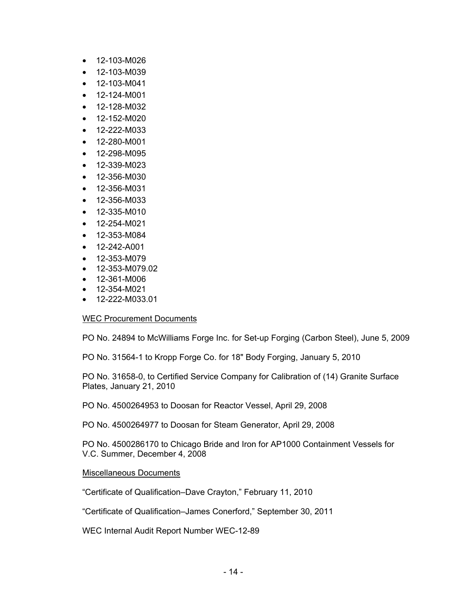- 12-103-M026
- 12-103-M039
- 12-103-M041
- 12-124-M001
- 12-128-M032
- 12-152-M020
- 12-222-M033
- 12-280-M001
- 12-298-M095
- 12-339-M023
- 12-356-M030
- 12-356-M031
- 12-356-M033
- 12-335-M010
- 12-254-M021
- 12-353-M084
- 12-242-A001
- 12-353-M079
- 12-353-M079.02
- 12-361-M006
- 12-354-M021
- 12-222-M033.01

## WEC Procurement Documents

PO No. 24894 to McWilliams Forge Inc. for Set-up Forging (Carbon Steel), June 5, 2009

PO No. 31564-1 to Kropp Forge Co. for 18" Body Forging, January 5, 2010

PO No. 31658-0, to Certified Service Company for Calibration of (14) Granite Surface Plates, January 21, 2010

PO No. 4500264953 to Doosan for Reactor Vessel, April 29, 2008

PO No. 4500264977 to Doosan for Steam Generator, April 29, 2008

PO No. 4500286170 to Chicago Bride and Iron for AP1000 Containment Vessels for V.C. Summer, December 4, 2008

#### Miscellaneous Documents

"Certificate of Qualification–Dave Crayton," February 11, 2010

"Certificate of Qualification–James Conerford," September 30, 2011

WEC Internal Audit Report Number WEC-12-89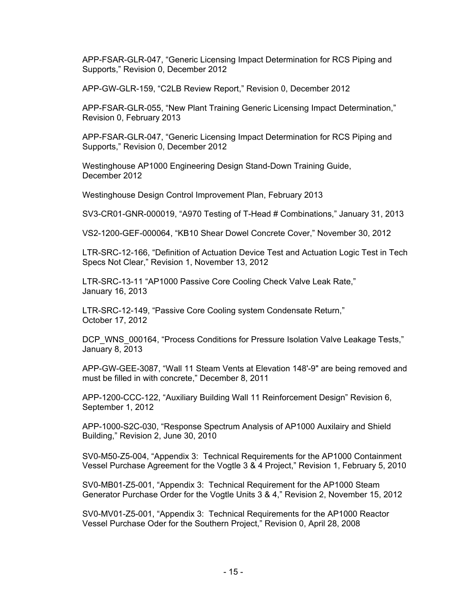APP-FSAR-GLR-047, "Generic Licensing Impact Determination for RCS Piping and Supports," Revision 0, December 2012

APP-GW-GLR-159, "C2LB Review Report," Revision 0, December 2012

APP-FSAR-GLR-055, "New Plant Training Generic Licensing Impact Determination," Revision 0, February 2013

APP-FSAR-GLR-047, "Generic Licensing Impact Determination for RCS Piping and Supports," Revision 0, December 2012

Westinghouse AP1000 Engineering Design Stand-Down Training Guide, December 2012

Westinghouse Design Control Improvement Plan, February 2013

SV3-CR01-GNR-000019, "A970 Testing of T-Head # Combinations," January 31, 2013

VS2-1200-GEF-000064, "KB10 Shear Dowel Concrete Cover," November 30, 2012

LTR-SRC-12-166, "Definition of Actuation Device Test and Actuation Logic Test in Tech Specs Not Clear," Revision 1, November 13, 2012

LTR-SRC-13-11 "AP1000 Passive Core Cooling Check Valve Leak Rate," January 16, 2013

LTR-SRC-12-149, "Passive Core Cooling system Condensate Return," October 17, 2012

DCP WNS 000164, "Process Conditions for Pressure Isolation Valve Leakage Tests," January 8, 2013

APP-GW-GEE-3087, "Wall 11 Steam Vents at Elevation 148'-9" are being removed and must be filled in with concrete," December 8, 2011

APP-1200-CCC-122, "Auxiliary Building Wall 11 Reinforcement Design" Revision 6, September 1, 2012

APP-1000-S2C-030, "Response Spectrum Analysis of AP1000 Auxilairy and Shield Building," Revision 2, June 30, 2010

SV0-M50-Z5-004, "Appendix 3: Technical Requirements for the AP1000 Containment Vessel Purchase Agreement for the Vogtle 3 & 4 Project," Revision 1, February 5, 2010

SV0-MB01-Z5-001, "Appendix 3: Technical Requirement for the AP1000 Steam Generator Purchase Order for the Vogtle Units 3 & 4," Revision 2, November 15, 2012

SV0-MV01-Z5-001, "Appendix 3: Technical Requirements for the AP1000 Reactor Vessel Purchase Oder for the Southern Project," Revision 0, April 28, 2008